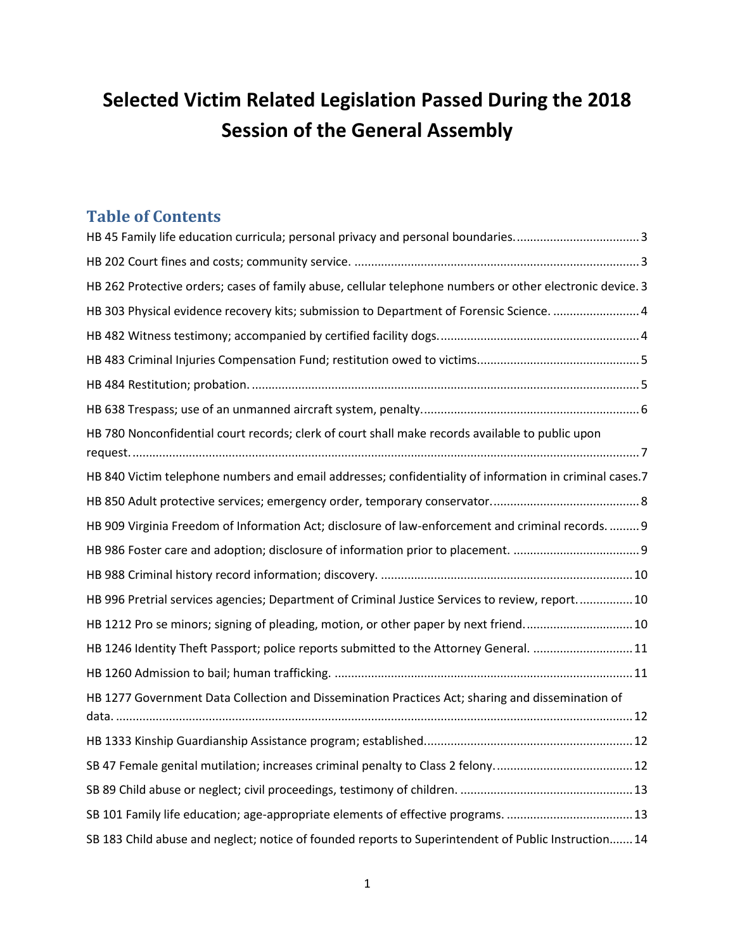# **Selected Victim Related Legislation Passed During the 2018 Session of the General Assembly**

## **Table of Contents**

| HB 45 Family life education curricula; personal privacy and personal boundaries3                          |
|-----------------------------------------------------------------------------------------------------------|
|                                                                                                           |
| HB 262 Protective orders; cases of family abuse, cellular telephone numbers or other electronic device. 3 |
| HB 303 Physical evidence recovery kits; submission to Department of Forensic Science.  4                  |
|                                                                                                           |
|                                                                                                           |
|                                                                                                           |
|                                                                                                           |
| HB 780 Nonconfidential court records; clerk of court shall make records available to public upon          |
| HB 840 Victim telephone numbers and email addresses; confidentiality of information in criminal cases.7   |
|                                                                                                           |
| HB 909 Virginia Freedom of Information Act; disclosure of law-enforcement and criminal records.  9        |
|                                                                                                           |
|                                                                                                           |
| HB 996 Pretrial services agencies; Department of Criminal Justice Services to review, report 10           |
| HB 1212 Pro se minors; signing of pleading, motion, or other paper by next friend10                       |
| HB 1246 Identity Theft Passport; police reports submitted to the Attorney General.  11                    |
|                                                                                                           |
| HB 1277 Government Data Collection and Dissemination Practices Act; sharing and dissemination of          |
|                                                                                                           |
|                                                                                                           |
|                                                                                                           |
| SB 101 Family life education; age-appropriate elements of effective programs.  13                         |
| SB 183 Child abuse and neglect; notice of founded reports to Superintendent of Public Instruction 14      |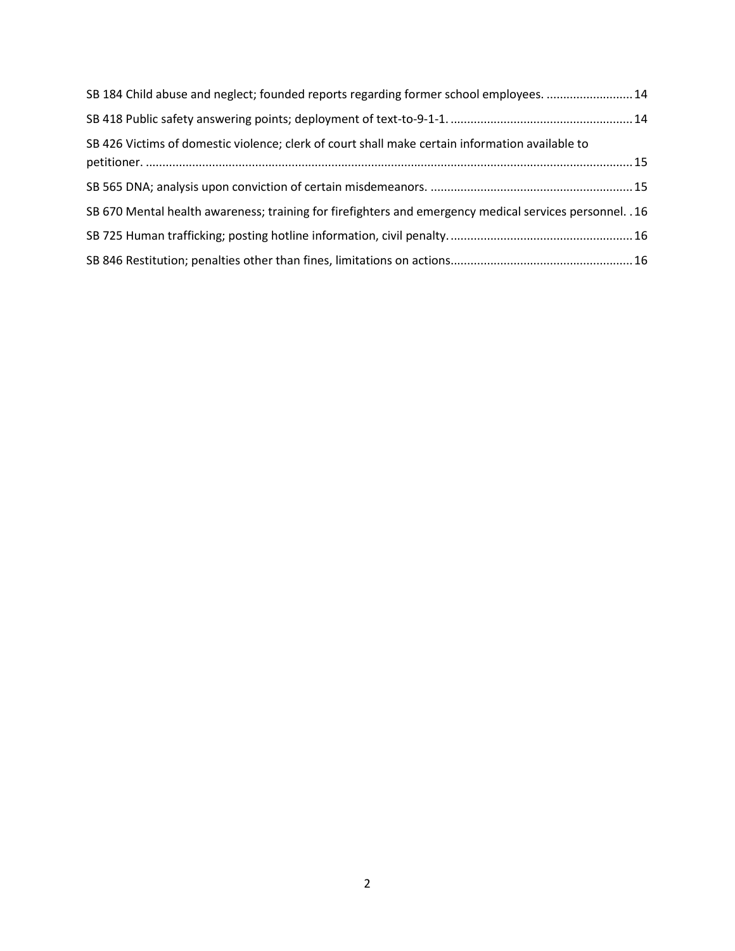| SB 184 Child abuse and neglect; founded reports regarding former school employees. 14                    |  |
|----------------------------------------------------------------------------------------------------------|--|
|                                                                                                          |  |
| SB 426 Victims of domestic violence; clerk of court shall make certain information available to          |  |
|                                                                                                          |  |
| SB 670 Mental health awareness; training for firefighters and emergency medical services personnel. . 16 |  |
|                                                                                                          |  |
|                                                                                                          |  |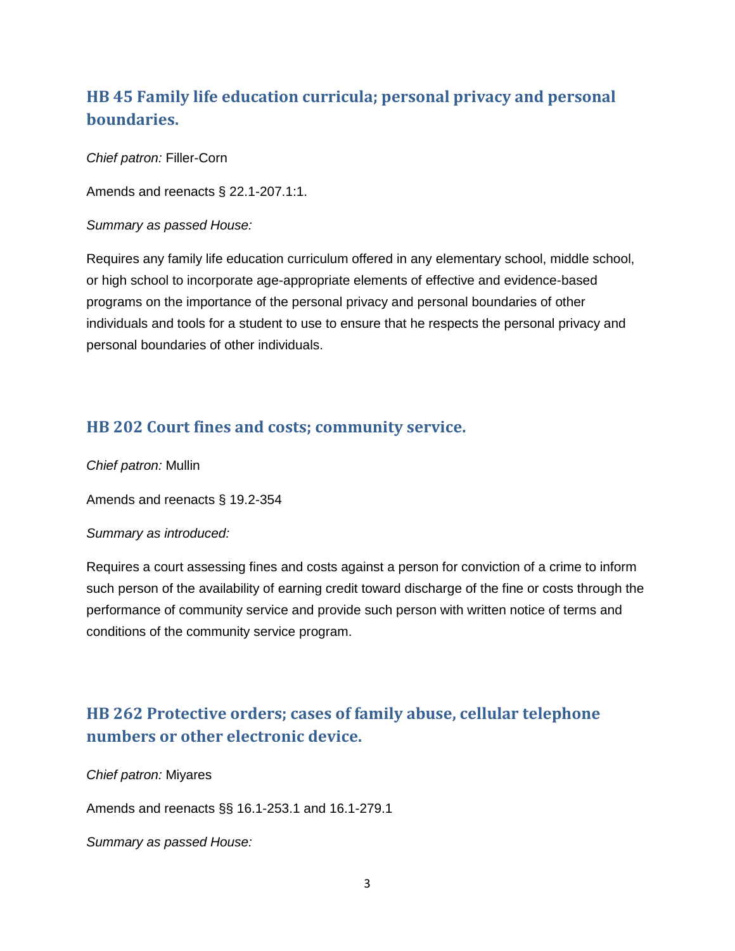## <span id="page-2-0"></span>**[HB 45](http://lis.virginia.gov/cgi-bin/legp604.exe?181+sum+HB45) Family life education curricula; personal privacy and personal boundaries.**

*Chief patron:* Filler-Corn

Amends and reenacts § 22.1-207.1:1.

*Summary as passed House:*

Requires any family life education curriculum offered in any elementary school, middle school, or high school to incorporate age-appropriate elements of effective and evidence-based programs on the importance of the personal privacy and personal boundaries of other individuals and tools for a student to use to ensure that he respects the personal privacy and personal boundaries of other individuals.

### <span id="page-2-1"></span>**[HB 202](http://lis.virginia.gov/cgi-bin/legp604.exe?181+sum+HB202) Court fines and costs; community service.**

*Chief patron:* Mullin

Amends and reenacts § 19.2-354

### *Summary as introduced:*

Requires a court assessing fines and costs against a person for conviction of a crime to inform such person of the availability of earning credit toward discharge of the fine or costs through the performance of community service and provide such person with written notice of terms and conditions of the community service program.

## <span id="page-2-2"></span>**[HB 262](http://lis.virginia.gov/cgi-bin/legp604.exe?181+sum+HB262) Protective orders; cases of family abuse, cellular telephone numbers or other electronic device.**

*Chief patron:* Miyares

Amends and reenacts §§ 16.1-253.1 and 16.1-279.1

*Summary as passed House:*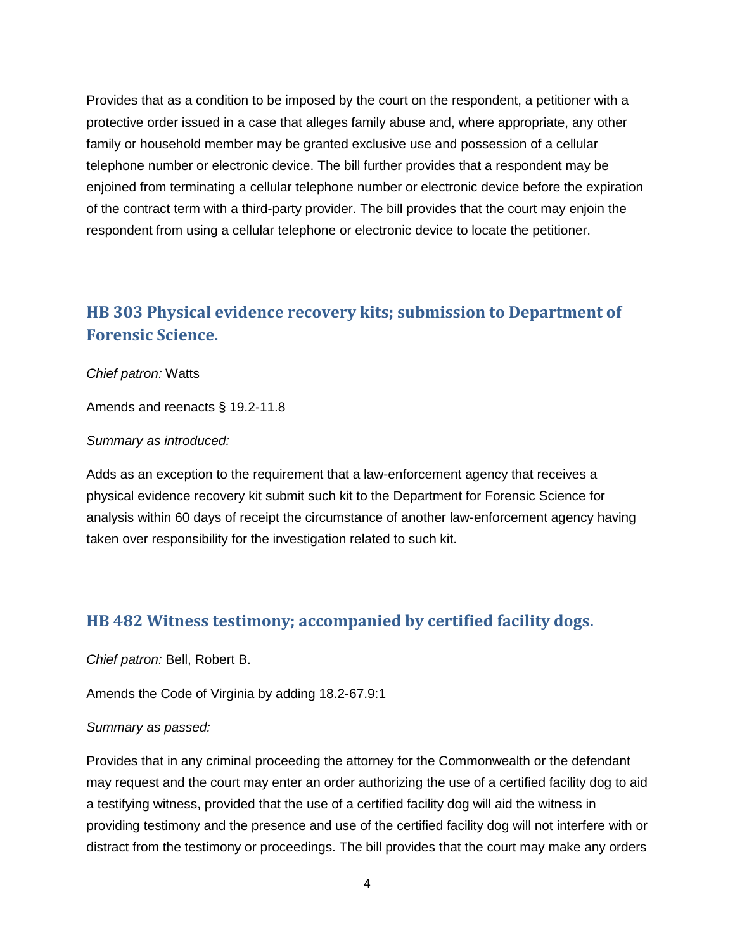Provides that as a condition to be imposed by the court on the respondent, a petitioner with a protective order issued in a case that alleges family abuse and, where appropriate, any other family or household member may be granted exclusive use and possession of a cellular telephone number or electronic device. The bill further provides that a respondent may be enjoined from terminating a cellular telephone number or electronic device before the expiration of the contract term with a third-party provider. The bill provides that the court may enjoin the respondent from using a cellular telephone or electronic device to locate the petitioner.

### <span id="page-3-0"></span>**[HB 303](http://lis.virginia.gov/cgi-bin/legp604.exe?181+sum+HB303) Physical evidence recovery kits; submission to Department of Forensic Science.**

### *Chief patron:* Watts

Amends and reenacts § 19.2-11.8

#### *Summary as introduced:*

Adds as an exception to the requirement that a law-enforcement agency that receives a physical evidence recovery kit submit such kit to the Department for Forensic Science for analysis within 60 days of receipt the circumstance of another law-enforcement agency having taken over responsibility for the investigation related to such kit.

### <span id="page-3-1"></span>**[HB 482](http://lis.virginia.gov/cgi-bin/legp604.exe?181+sum+HB482) Witness testimony; accompanied by certified facility dogs.**

*Chief patron:* Bell, Robert B.

Amends the Code of Virginia by adding 18.2-67.9:1

#### *Summary as passed:*

Provides that in any criminal proceeding the attorney for the Commonwealth or the defendant may request and the court may enter an order authorizing the use of a certified facility dog to aid a testifying witness, provided that the use of a certified facility dog will aid the witness in providing testimony and the presence and use of the certified facility dog will not interfere with or distract from the testimony or proceedings. The bill provides that the court may make any orders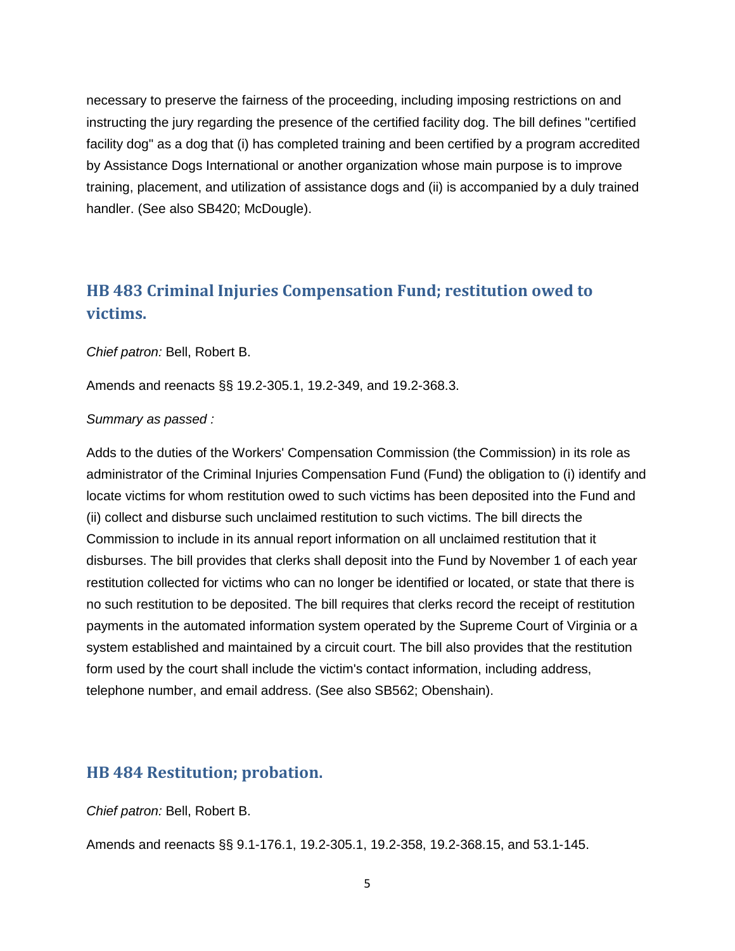necessary to preserve the fairness of the proceeding, including imposing restrictions on and instructing the jury regarding the presence of the certified facility dog. The bill defines "certified facility dog" as a dog that (i) has completed training and been certified by a program accredited by Assistance Dogs International or another organization whose main purpose is to improve training, placement, and utilization of assistance dogs and (ii) is accompanied by a duly trained handler. (See also SB420; McDougle).

## <span id="page-4-0"></span>**[HB 483](http://lis.virginia.gov/cgi-bin/legp604.exe?181+sum+HB483) Criminal Injuries Compensation Fund; restitution owed to victims.**

*Chief patron:* Bell, Robert B.

Amends and reenacts §§ 19.2-305.1, 19.2-349, and 19.2-368.3.

#### *Summary as passed :*

Adds to the duties of the Workers' Compensation Commission (the Commission) in its role as administrator of the Criminal Injuries Compensation Fund (Fund) the obligation to (i) identify and locate victims for whom restitution owed to such victims has been deposited into the Fund and (ii) collect and disburse such unclaimed restitution to such victims. The bill directs the Commission to include in its annual report information on all unclaimed restitution that it disburses. The bill provides that clerks shall deposit into the Fund by November 1 of each year restitution collected for victims who can no longer be identified or located, or state that there is no such restitution to be deposited. The bill requires that clerks record the receipt of restitution payments in the automated information system operated by the Supreme Court of Virginia or a system established and maintained by a circuit court. The bill also provides that the restitution form used by the court shall include the victim's contact information, including address, telephone number, and email address. (See also SB562; Obenshain).

### <span id="page-4-1"></span>**[HB 484](http://lis.virginia.gov/cgi-bin/legp604.exe?181+sum+HB484) Restitution; probation.**

*Chief patron:* Bell, Robert B.

Amends and reenacts §§ 9.1-176.1, 19.2-305.1, 19.2-358, 19.2-368.15, and 53.1-145.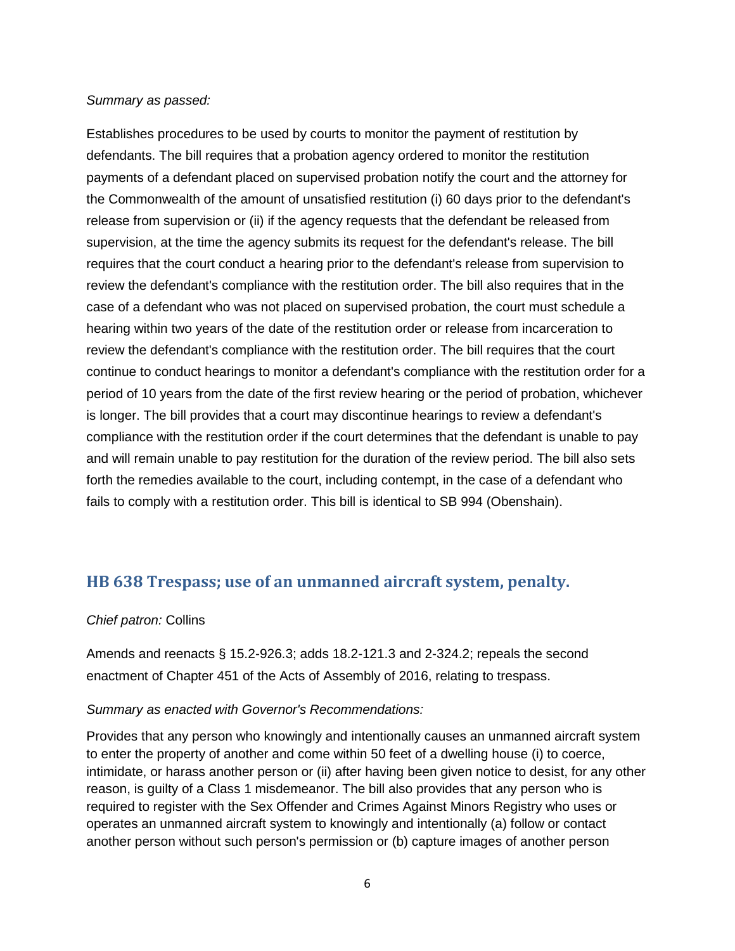#### *Summary as passed:*

Establishes procedures to be used by courts to monitor the payment of restitution by defendants. The bill requires that a probation agency ordered to monitor the restitution payments of a defendant placed on supervised probation notify the court and the attorney for the Commonwealth of the amount of unsatisfied restitution (i) 60 days prior to the defendant's release from supervision or (ii) if the agency requests that the defendant be released from supervision, at the time the agency submits its request for the defendant's release. The bill requires that the court conduct a hearing prior to the defendant's release from supervision to review the defendant's compliance with the restitution order. The bill also requires that in the case of a defendant who was not placed on supervised probation, the court must schedule a hearing within two years of the date of the restitution order or release from incarceration to review the defendant's compliance with the restitution order. The bill requires that the court continue to conduct hearings to monitor a defendant's compliance with the restitution order for a period of 10 years from the date of the first review hearing or the period of probation, whichever is longer. The bill provides that a court may discontinue hearings to review a defendant's compliance with the restitution order if the court determines that the defendant is unable to pay and will remain unable to pay restitution for the duration of the review period. The bill also sets forth the remedies available to the court, including contempt, in the case of a defendant who fails to comply with a restitution order. This bill is identical to SB 994 (Obenshain).

### <span id="page-5-0"></span>**[HB 638](http://lis.virginia.gov/cgi-bin/legp604.exe?181+sum+HB638) Trespass; use of an unmanned aircraft system, penalty.**

### *Chief patron:* Collins

Amends and reenacts § 15.2-926.3; adds 18.2-121.3 and 2-324.2; repeals the second enactment of Chapter 451 of the Acts of Assembly of 2016, relating to trespass.

### *Summary as enacted with Governor's Recommendations:*

Provides that any person who knowingly and intentionally causes an unmanned aircraft system to enter the property of another and come within 50 feet of a dwelling house (i) to coerce, intimidate, or harass another person or (ii) after having been given notice to desist, for any other reason, is guilty of a Class 1 misdemeanor. The bill also provides that any person who is required to register with the Sex Offender and Crimes Against Minors Registry who uses or operates an unmanned aircraft system to knowingly and intentionally (a) follow or contact another person without such person's permission or (b) capture images of another person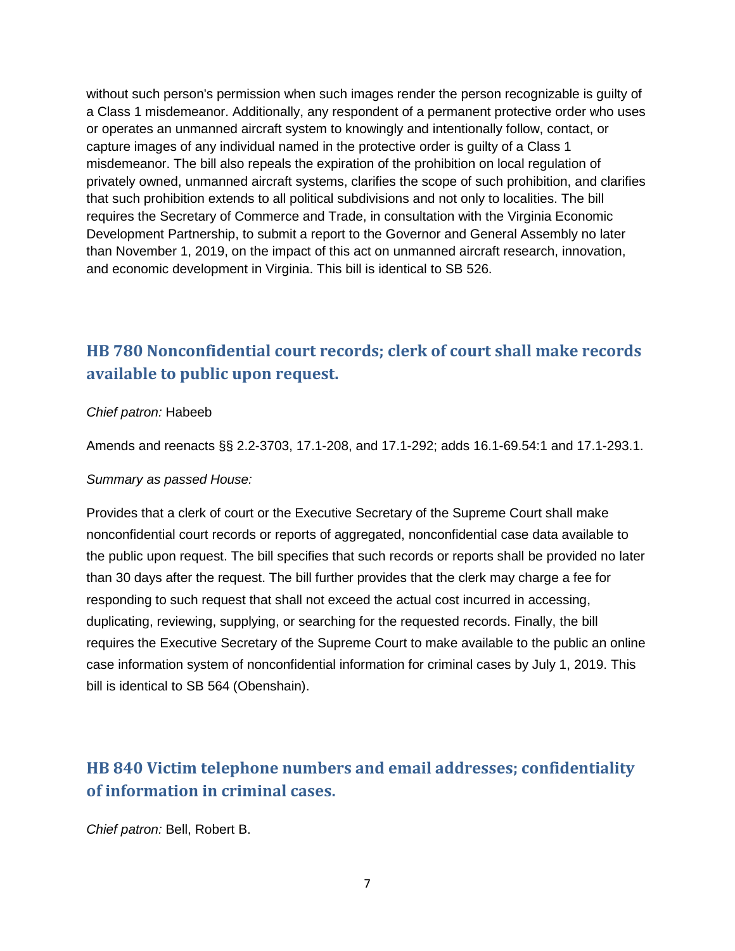without such person's permission when such images render the person recognizable is guilty of a Class 1 misdemeanor. Additionally, any respondent of a permanent protective order who uses or operates an unmanned aircraft system to knowingly and intentionally follow, contact, or capture images of any individual named in the protective order is guilty of a Class 1 misdemeanor. The bill also repeals the expiration of the prohibition on local regulation of privately owned, unmanned aircraft systems, clarifies the scope of such prohibition, and clarifies that such prohibition extends to all political subdivisions and not only to localities. The bill requires the Secretary of Commerce and Trade, in consultation with the Virginia Economic Development Partnership, to submit a report to the Governor and General Assembly no later than November 1, 2019, on the impact of this act on unmanned aircraft research, innovation, and economic development in Virginia. This bill is identical to SB 526.

## <span id="page-6-0"></span>**[HB 780](http://lis.virginia.gov/cgi-bin/legp604.exe?181+sum+HB780) Nonconfidential court records; clerk of court shall make records available to public upon request.**

### *Chief patron:* Habeeb

Amends and reenacts §§ 2.2-3703, 17.1-208, and 17.1-292; adds 16.1-69.54:1 and 17.1-293.1.

#### *Summary as passed House:*

Provides that a clerk of court or the Executive Secretary of the Supreme Court shall make nonconfidential court records or reports of aggregated, nonconfidential case data available to the public upon request. The bill specifies that such records or reports shall be provided no later than 30 days after the request. The bill further provides that the clerk may charge a fee for responding to such request that shall not exceed the actual cost incurred in accessing, duplicating, reviewing, supplying, or searching for the requested records. Finally, the bill requires the Executive Secretary of the Supreme Court to make available to the public an online case information system of nonconfidential information for criminal cases by July 1, 2019. This bill is identical to SB 564 (Obenshain).

## <span id="page-6-1"></span>**[HB 840](http://lis.virginia.gov/cgi-bin/legp604.exe?181+sum+HB840) Victim telephone numbers and email addresses; confidentiality of information in criminal cases.**

*Chief patron:* Bell, Robert B.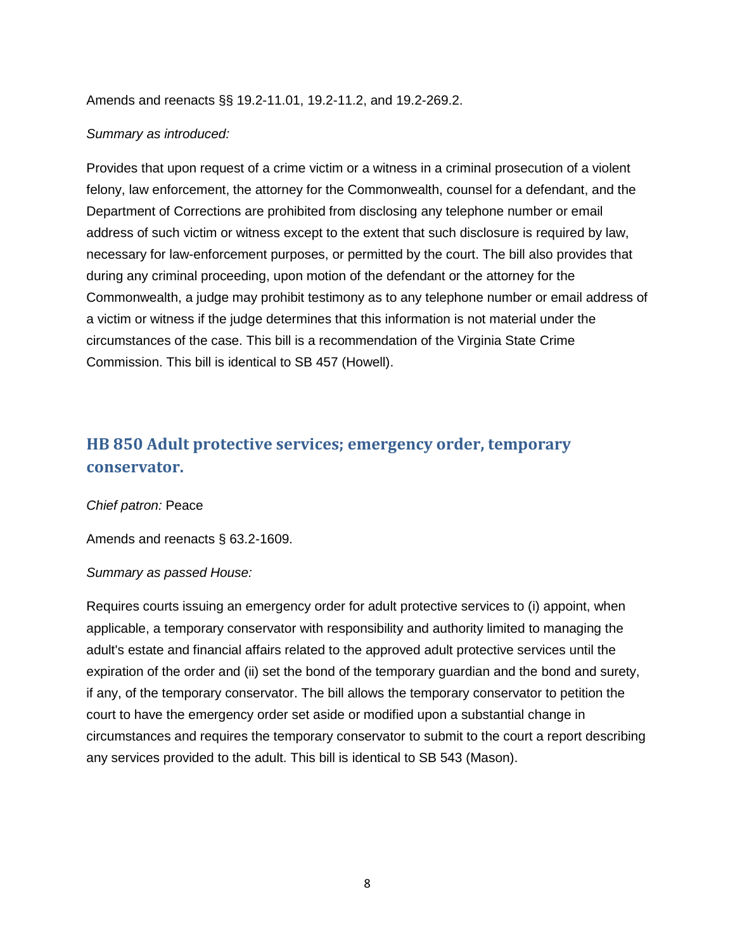Amends and reenacts §§ 19.2-11.01, 19.2-11.2, and 19.2-269.2.

### *Summary as introduced:*

Provides that upon request of a crime victim or a witness in a criminal prosecution of a violent felony, law enforcement, the attorney for the Commonwealth, counsel for a defendant, and the Department of Corrections are prohibited from disclosing any telephone number or email address of such victim or witness except to the extent that such disclosure is required by law, necessary for law-enforcement purposes, or permitted by the court. The bill also provides that during any criminal proceeding, upon motion of the defendant or the attorney for the Commonwealth, a judge may prohibit testimony as to any telephone number or email address of a victim or witness if the judge determines that this information is not material under the circumstances of the case. This bill is a recommendation of the Virginia State Crime Commission. This bill is identical to SB 457 (Howell).

## <span id="page-7-0"></span>**[HB 850](http://lis.virginia.gov/cgi-bin/legp604.exe?181+sum+HB850) Adult protective services; emergency order, temporary conservator.**

### *Chief patron:* Peace

Amends and reenacts § 63.2-1609.

### *Summary as passed House:*

Requires courts issuing an emergency order for adult protective services to (i) appoint, when applicable, a temporary conservator with responsibility and authority limited to managing the adult's estate and financial affairs related to the approved adult protective services until the expiration of the order and (ii) set the bond of the temporary guardian and the bond and surety, if any, of the temporary conservator. The bill allows the temporary conservator to petition the court to have the emergency order set aside or modified upon a substantial change in circumstances and requires the temporary conservator to submit to the court a report describing any services provided to the adult. This bill is identical to SB 543 (Mason).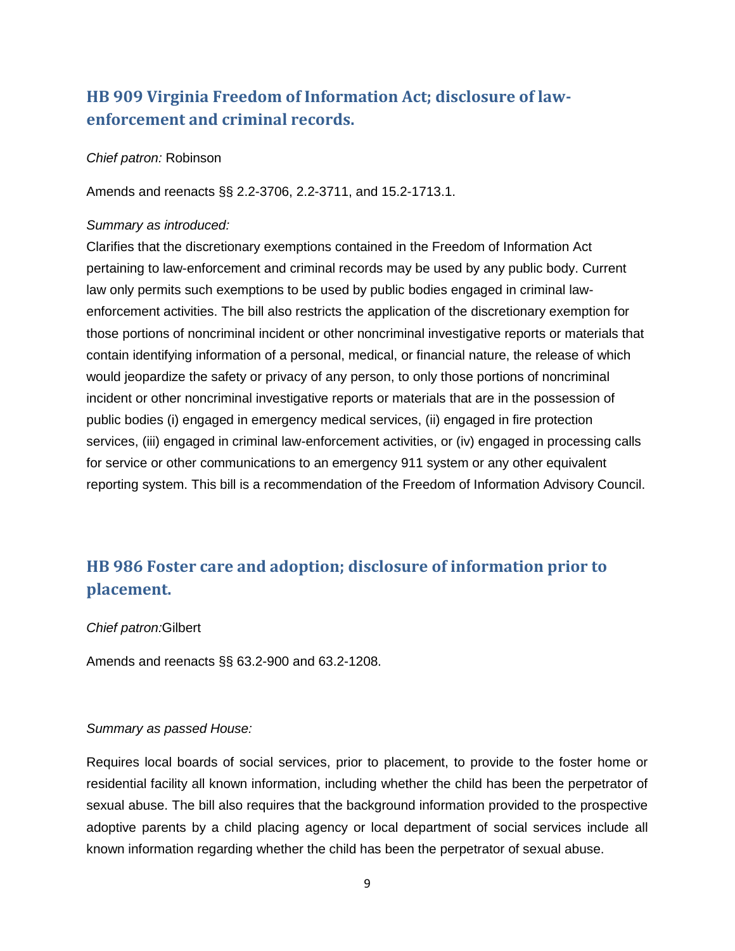## <span id="page-8-0"></span>**[HB 909](http://lis.virginia.gov/cgi-bin/legp604.exe?181+sum+HB909) Virginia Freedom of Information Act; disclosure of lawenforcement and criminal records.**

#### *Chief patron:* Robinson

Amends and reenacts §§ 2.2-3706, 2.2-3711, and 15.2-1713.1.

#### *Summary as introduced:*

Clarifies that the discretionary exemptions contained in the Freedom of Information Act pertaining to law-enforcement and criminal records may be used by any public body. Current law only permits such exemptions to be used by public bodies engaged in criminal lawenforcement activities. The bill also restricts the application of the discretionary exemption for those portions of noncriminal incident or other noncriminal investigative reports or materials that contain identifying information of a personal, medical, or financial nature, the release of which would jeopardize the safety or privacy of any person, to only those portions of noncriminal incident or other noncriminal investigative reports or materials that are in the possession of public bodies (i) engaged in emergency medical services, (ii) engaged in fire protection services, (iii) engaged in criminal law-enforcement activities, or (iv) engaged in processing calls for service or other communications to an emergency 911 system or any other equivalent reporting system. This bill is a recommendation of the Freedom of Information Advisory Council.

## <span id="page-8-1"></span>**HB 986 Foster care and adoption; disclosure of information prior to placement.**

#### *Chief patron:*Gilbert

Amends and reenacts §§ 63.2-900 and 63.2-1208.

### *Summary as passed House:*

Requires local boards of social services, prior to placement, to provide to the foster home or residential facility all known information, including whether the child has been the perpetrator of sexual abuse. The bill also requires that the background information provided to the prospective adoptive parents by a child placing agency or local department of social services include all known information regarding whether the child has been the perpetrator of sexual abuse.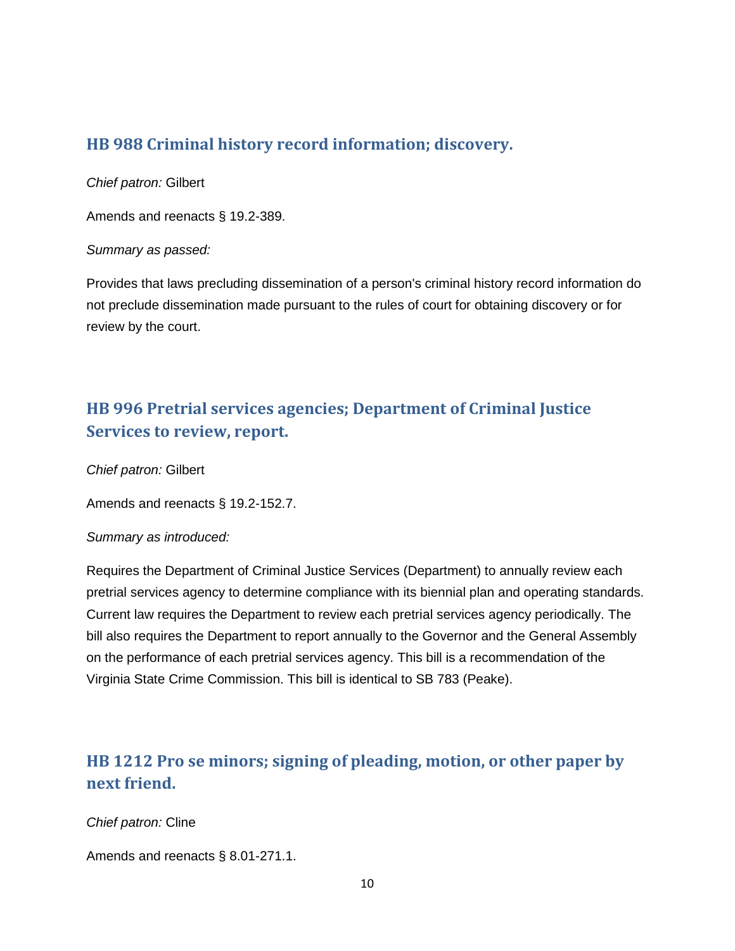### <span id="page-9-0"></span>**[HB 988](http://lis.virginia.gov/cgi-bin/legp604.exe?181+sum+HB988) Criminal history record information; discovery.**

*Chief patron:* Gilbert

Amends and reenacts § 19.2-389.

### *Summary as passed:*

Provides that laws precluding dissemination of a person's criminal history record information do not preclude dissemination made pursuant to the rules of court for obtaining discovery or for review by the court.

## <span id="page-9-1"></span>**[HB 996](http://lis.virginia.gov/cgi-bin/legp604.exe?181+sum+HB996) Pretrial services agencies; Department of Criminal Justice Services to review, report.**

*Chief patron:* Gilbert

Amends and reenacts § 19.2-152.7.

### *Summary as introduced:*

Requires the Department of Criminal Justice Services (Department) to annually review each pretrial services agency to determine compliance with its biennial plan and operating standards. Current law requires the Department to review each pretrial services agency periodically. The bill also requires the Department to report annually to the Governor and the General Assembly on the performance of each pretrial services agency. This bill is a recommendation of the Virginia State Crime Commission. This bill is identical to SB 783 (Peake).

## <span id="page-9-2"></span>**[HB 1212](http://lis.virginia.gov/cgi-bin/legp604.exe?181+sum+HB1212) Pro se minors; signing of pleading, motion, or other paper by next friend.**

*Chief patron:* Cline

Amends and reenacts § 8.01-271.1.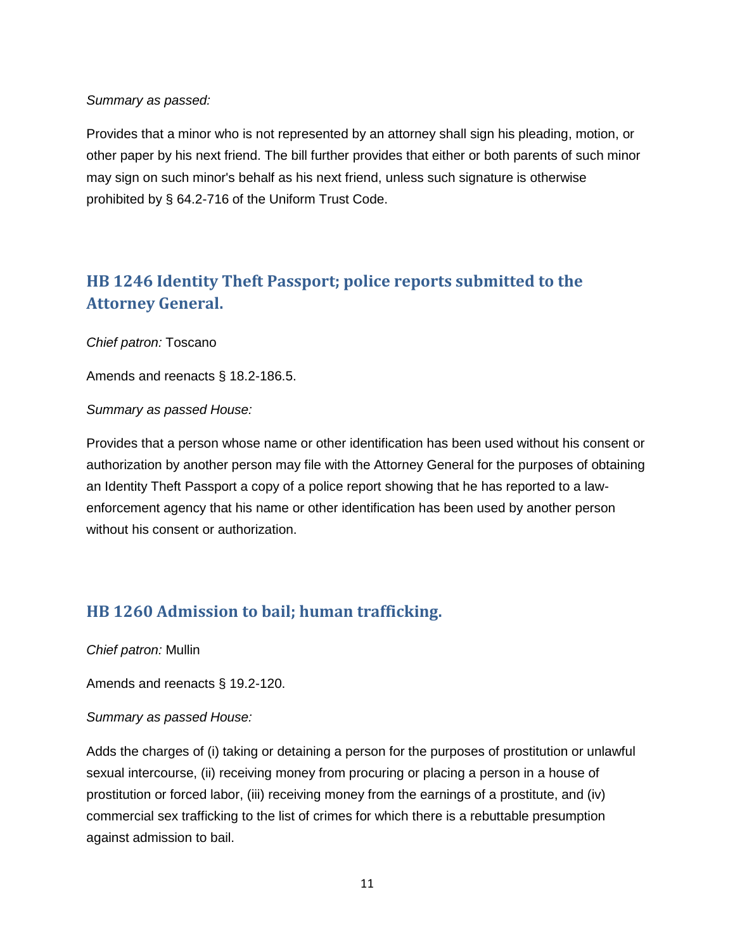### *Summary as passed:*

Provides that a minor who is not represented by an attorney shall sign his pleading, motion, or other paper by his next friend. The bill further provides that either or both parents of such minor may sign on such minor's behalf as his next friend, unless such signature is otherwise prohibited by § 64.2-716 of the Uniform Trust Code.

## <span id="page-10-0"></span>**[HB 1246](http://lis.virginia.gov/cgi-bin/legp604.exe?181+sum+HB1246) Identity Theft Passport; police reports submitted to the Attorney General.**

### *Chief patron:* Toscano

Amends and reenacts § 18.2-186.5.

### *Summary as passed House:*

Provides that a person whose name or other identification has been used without his consent or authorization by another person may file with the Attorney General for the purposes of obtaining an Identity Theft Passport a copy of a police report showing that he has reported to a lawenforcement agency that his name or other identification has been used by another person without his consent or authorization.

### <span id="page-10-1"></span>**[HB 1260](http://lis.virginia.gov/cgi-bin/legp604.exe?181+sum+HB1260) Admission to bail; human trafficking.**

*Chief patron:* Mullin

Amends and reenacts § 19.2-120.

### *Summary as passed House:*

Adds the charges of (i) taking or detaining a person for the purposes of prostitution or unlawful sexual intercourse, (ii) receiving money from procuring or placing a person in a house of prostitution or forced labor, (iii) receiving money from the earnings of a prostitute, and (iv) commercial sex trafficking to the list of crimes for which there is a rebuttable presumption against admission to bail.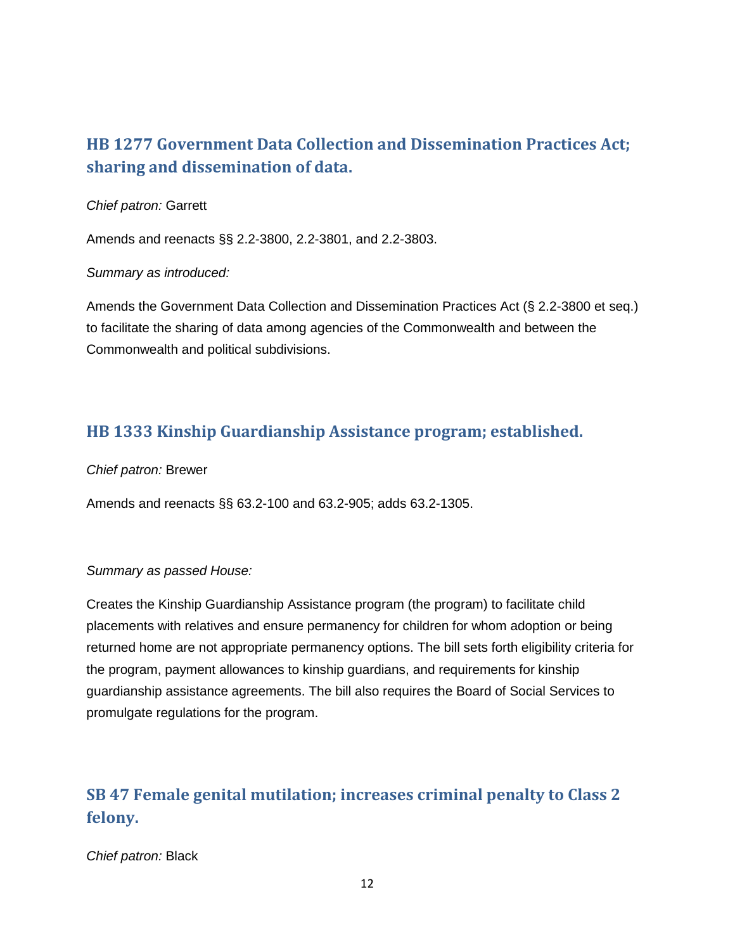## <span id="page-11-0"></span>**[HB 1277](http://lis.virginia.gov/cgi-bin/legp604.exe?181+sum+HB1277) Government Data Collection and Dissemination Practices Act; sharing and dissemination of data.**

### *Chief patron:* Garrett

Amends and reenacts §§ 2.2-3800, 2.2-3801, and 2.2-3803.

### *Summary as introduced:*

Amends the Government Data Collection and Dissemination Practices Act (§ 2.2-3800 et seq.) to facilitate the sharing of data among agencies of the Commonwealth and between the Commonwealth and political subdivisions.

## <span id="page-11-1"></span>**[HB 1333](http://lis.virginia.gov/cgi-bin/legp604.exe?181+sum+HB1333) Kinship Guardianship Assistance program; established.**

### *Chief patron:* Brewer

Amends and reenacts §§ 63.2-100 and 63.2-905; adds 63.2-1305.

### *Summary as passed House:*

Creates the Kinship Guardianship Assistance program (the program) to facilitate child placements with relatives and ensure permanency for children for whom adoption or being returned home are not appropriate permanency options. The bill sets forth eligibility criteria for the program, payment allowances to kinship guardians, and requirements for kinship guardianship assistance agreements. The bill also requires the Board of Social Services to promulgate regulations for the program.

## <span id="page-11-2"></span>**[SB 47](http://lis.virginia.gov/cgi-bin/legp604.exe?181+sum+SB47) Female genital mutilation; increases criminal penalty to Class 2 felony.**

*Chief patron:* Black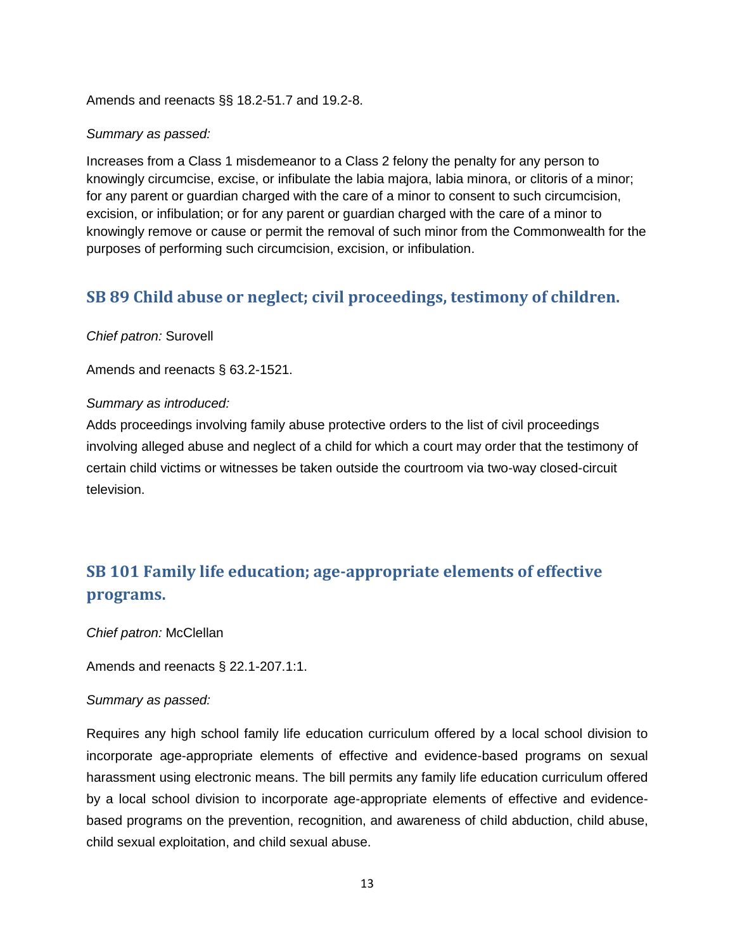Amends and reenacts §§ 18.2-51.7 and 19.2-8.

### *Summary as passed:*

Increases from a Class 1 misdemeanor to a Class 2 felony the penalty for any person to knowingly circumcise, excise, or infibulate the labia majora, labia minora, or clitoris of a minor; for any parent or guardian charged with the care of a minor to consent to such circumcision, excision, or infibulation; or for any parent or guardian charged with the care of a minor to knowingly remove or cause or permit the removal of such minor from the Commonwealth for the purposes of performing such circumcision, excision, or infibulation.

### <span id="page-12-0"></span>**[SB 89](http://lis.virginia.gov/cgi-bin/legp604.exe?181+sum+SB89) Child abuse or neglect; civil proceedings, testimony of children.**

*Chief patron:* Surovell

Amends and reenacts § 63.2-1521.

### *Summary as introduced:*

Adds proceedings involving family abuse protective orders to the list of civil proceedings involving alleged abuse and neglect of a child for which a court may order that the testimony of certain child victims or witnesses be taken outside the courtroom via two-way closed-circuit television.

## <span id="page-12-1"></span>**SB 101 Family life education; age-appropriate elements of effective programs.**

*Chief patron:* McClellan

Amends and reenacts § 22.1-207.1:1.

### *Summary as passed:*

Requires any high school family life education curriculum offered by a local school division to incorporate age-appropriate elements of effective and evidence-based programs on sexual harassment using electronic means. The bill permits any family life education curriculum offered by a local school division to incorporate age-appropriate elements of effective and evidencebased programs on the prevention, recognition, and awareness of child abduction, child abuse, child sexual exploitation, and child sexual abuse.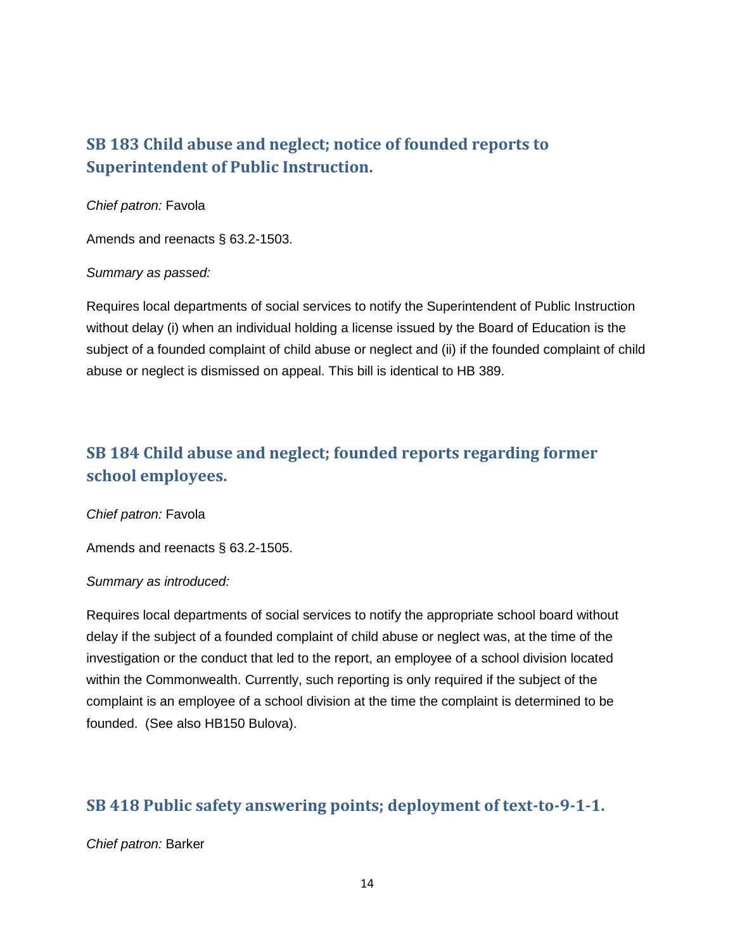## <span id="page-13-0"></span>**[SB 183](http://lis.virginia.gov/cgi-bin/legp604.exe?181+sum+SB183) Child abuse and neglect; notice of founded reports to Superintendent of Public Instruction.**

### *Chief patron:* Favola

Amends and reenacts § 63.2-1503.

### *Summary as passed:*

Requires local departments of social services to notify the Superintendent of Public Instruction without delay (i) when an individual holding a license issued by the Board of Education is the subject of a founded complaint of child abuse or neglect and (ii) if the founded complaint of child abuse or neglect is dismissed on appeal. This bill is identical to HB 389.

## <span id="page-13-1"></span>**[SB 184](http://lis.virginia.gov/cgi-bin/legp604.exe?181+sum+SB184) Child abuse and neglect; founded reports regarding former school employees.**

*Chief patron:* Favola

Amends and reenacts § 63.2-1505.

### *Summary as introduced:*

Requires local departments of social services to notify the appropriate school board without delay if the subject of a founded complaint of child abuse or neglect was, at the time of the investigation or the conduct that led to the report, an employee of a school division located within the Commonwealth. Currently, such reporting is only required if the subject of the complaint is an employee of a school division at the time the complaint is determined to be founded. (See also HB150 Bulova).

### <span id="page-13-2"></span>**[SB 418](http://lis.virginia.gov/cgi-bin/legp604.exe?181+sum+SB418) Public safety answering points; deployment of text-to-9-1-1.**

### *Chief patron:* Barker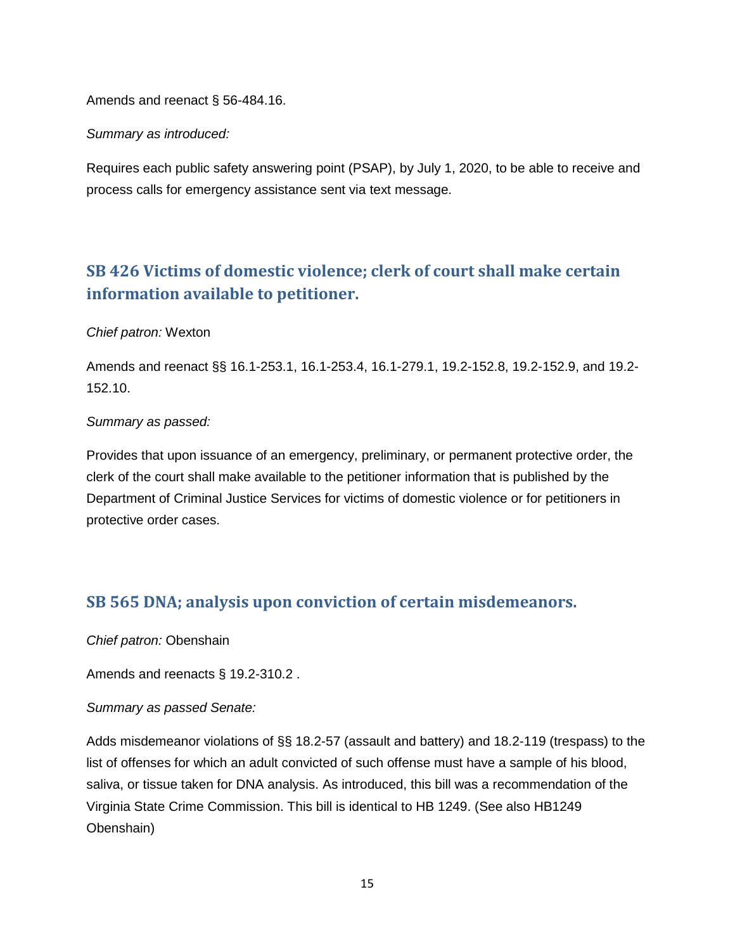Amends and reenact § 56-484.16.

### *Summary as introduced:*

Requires each public safety answering point (PSAP), by July 1, 2020, to be able to receive and process calls for emergency assistance sent via text message.

## <span id="page-14-0"></span>**[SB 426](http://lis.virginia.gov/cgi-bin/legp604.exe?181+sum+SB426) Victims of domestic violence; clerk of court shall make certain information available to petitioner.**

### *Chief patron:* Wexton

Amends and reenact §§ 16.1-253.1, 16.1-253.4, 16.1-279.1, 19.2-152.8, 19.2-152.9, and 19.2- 152.10.

### *Summary as passed:*

Provides that upon issuance of an emergency, preliminary, or permanent protective order, the clerk of the court shall make available to the petitioner information that is published by the Department of Criminal Justice Services for victims of domestic violence or for petitioners in protective order cases.

### <span id="page-14-1"></span>**[SB 565](http://lis.virginia.gov/cgi-bin/legp604.exe?181+sum+SB565) DNA; analysis upon conviction of certain misdemeanors.**

*Chief patron:* Obenshain

Amends and reenacts § 19.2-310.2 .

### *Summary as passed Senate:*

Adds misdemeanor violations of §§ 18.2-57 (assault and battery) and 18.2-119 (trespass) to the list of offenses for which an adult convicted of such offense must have a sample of his blood, saliva, or tissue taken for DNA analysis. As introduced, this bill was a recommendation of the Virginia State Crime Commission. This bill is identical to HB 1249. (See also HB1249 Obenshain)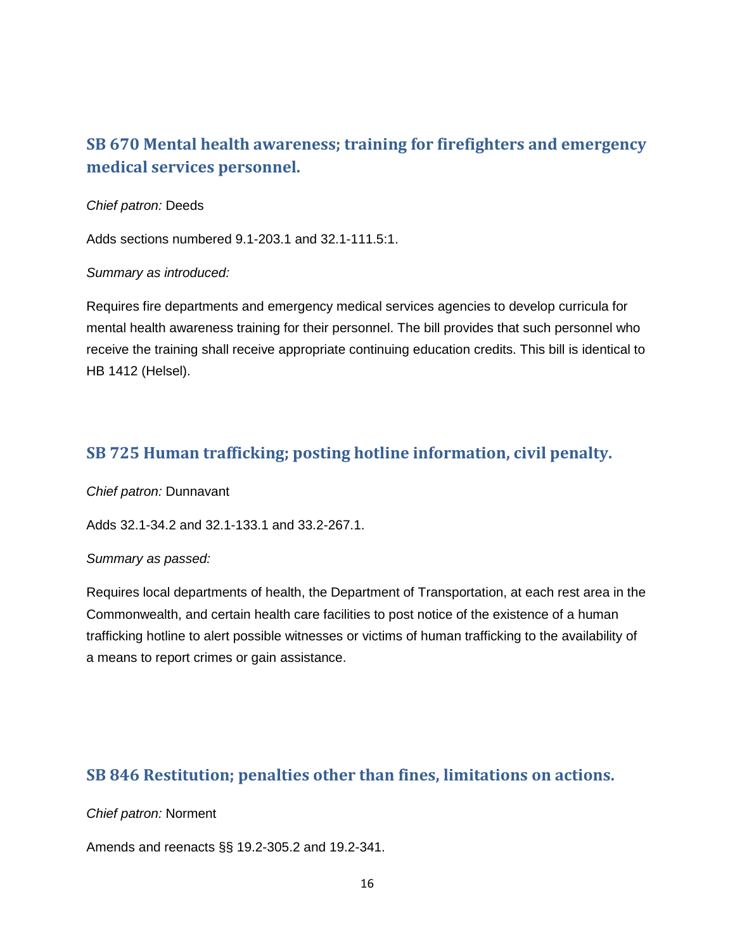## <span id="page-15-0"></span>**[SB 670](http://lis.virginia.gov/cgi-bin/legp604.exe?181+sum+SB670) Mental health awareness; training for firefighters and emergency medical services personnel.**

### *Chief patron:* Deeds

Adds sections numbered 9.1-203.1 and 32.1-111.5:1.

### *Summary as introduced:*

Requires fire departments and emergency medical services agencies to develop curricula for mental health awareness training for their personnel. The bill provides that such personnel who receive the training shall receive appropriate continuing education credits. This bill is identical to HB 1412 (Helsel).

### <span id="page-15-1"></span>**[SB 725](http://lis.virginia.gov/cgi-bin/legp604.exe?181+sum+SB725) Human trafficking; posting hotline information, civil penalty.**

*Chief patron:* Dunnavant

Adds 32.1-34.2 and 32.1-133.1 and 33.2-267.1.

### *Summary as passed:*

Requires local departments of health, the Department of Transportation, at each rest area in the Commonwealth, and certain health care facilities to post notice of the existence of a human trafficking hotline to alert possible witnesses or victims of human trafficking to the availability of a means to report crimes or gain assistance.

### <span id="page-15-2"></span>**[SB 846](http://lis.virginia.gov/cgi-bin/legp604.exe?181+sum+SB846) Restitution; penalties other than fines, limitations on actions.**

### *Chief patron:* Norment

Amends and reenacts §§ 19.2-305.2 and 19.2-341.